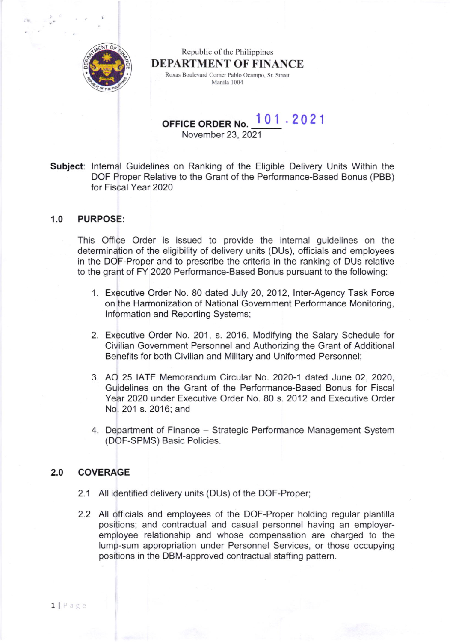

Republic of the Philippines DEPARTMENT OF FINANCE Roxas Boulevard Corner Pablo Ocampo, Sr. Street Manila 1004

OFFICE ORDER No. 101 .2021

November 23,2021

Subject: Internal Guidelines on Ranking of the Eligible Delivery Units Within the DOF Proper Relative to the Grant of the Performance-Based Bonus (PBB) for Fiscal Year 2020

### 1.0 PURPOSE:

This Office Order is issued to provide the internal guidelines on the determination of the eligibility of delivery units (DUs), officials and employees in the DOF-Proper and to prescribe the criteria in the ranking of DUs relative to the grant ot FY 2020 Performance-Based Bonus pursuant to the following:

- Executive Order No. 80 dated July 20, 2012, lnter-Agency Task Force 1 on the Harmonization of National Government Performance Monitoring, lnformation and Reporting Systems;
- 2. Executive Order No. 201, s. 2016, Modifying the Salary Schedule for Civilian Government Personnel and Authorizing the Grant of Additional Benefits for both Civilian and Military and Uniformed Personnel;
- 3. AO 25 IATF Memorandum Circular No. 2020-1 dated June 02, 2020, Guidelines on the Grant of the Performance-Based Bonus for Fiscal Year 2020 under Executive Order No. B0 s. 2012 and Executive Order No.201 s.2016; and
- 4. Department of Finance Strategic Performance Management System (DOF-SPMS) Basic Policies.

# 2.0 COVERAGE

- 2.1 All identified delivery units (DUs) of the DOF-Proper;
- 2.2 All officials and employees of the DOF-Proper holding regular plantilla positions; and contractual and casual personnel having an employeremployee relationship and whose compensation are charged to the lump-sum appropriation under Personnel Services, or those occupying positions in the DBM-approved contractual staffing pattern.